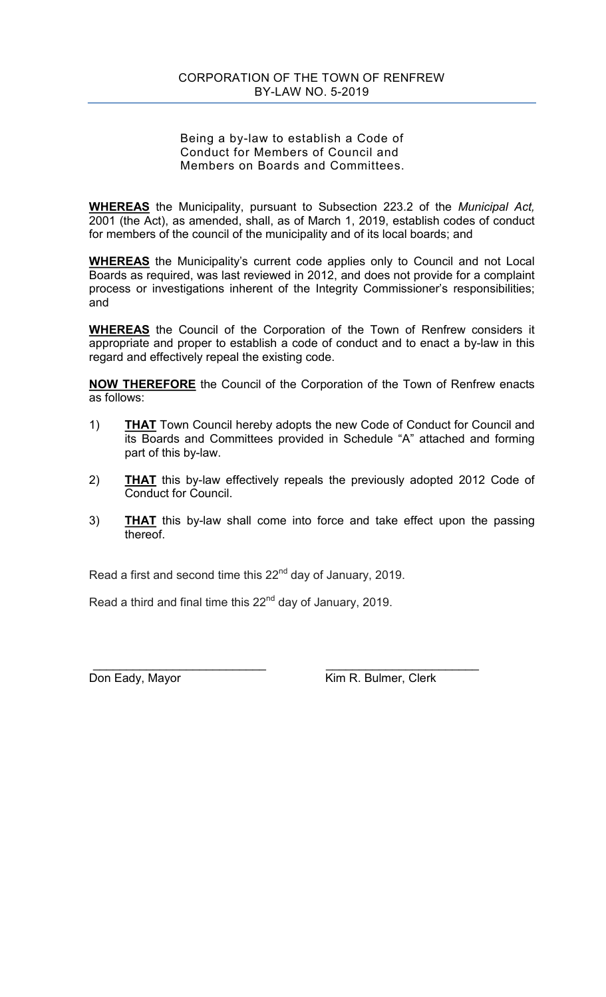Being a by-law to establish a Code of Conduct for Members of Council and Members on Boards and Committees.

**WHEREAS** the Municipality, pursuant to Subsection 223.2 of the *Municipal Act,* 2001 (the Act), as amended, shall, as of March 1, 2019, establish codes of conduct for members of the council of the municipality and of its local boards; and

**WHEREAS** the Municipality's current code applies only to Council and not Local Boards as required, was last reviewed in 2012, and does not provide for a complaint process or investigations inherent of the Integrity Commissioner's responsibilities; and

**WHEREAS** the Council of the Corporation of the Town of Renfrew considers it appropriate and proper to establish a code of conduct and to enact a by-law in this regard and effectively repeal the existing code.

**NOW THEREFORE** the Council of the Corporation of the Town of Renfrew enacts as follows:

- 1) **THAT** Town Council hereby adopts the new Code of Conduct for Council and its Boards and Committees provided in Schedule "A" attached and forming part of this by-law.
- 2) **THAT** this by-law effectively repeals the previously adopted 2012 Code of Conduct for Council.
- 3) **THAT** this by-law shall come into force and take effect upon the passing thereof.

Read a first and second time this  $22<sup>nd</sup>$  day of January, 2019.

Read a third and final time this  $22<sup>nd</sup>$  day of January, 2019.

 \_\_\_\_\_\_\_\_\_\_\_\_\_\_\_\_\_\_\_\_\_\_\_\_\_\_ \_\_\_\_\_\_\_\_\_\_\_\_\_\_\_\_\_\_\_\_\_\_\_ Don Eady, Mayor **Kim R. Bulmer, Clerk**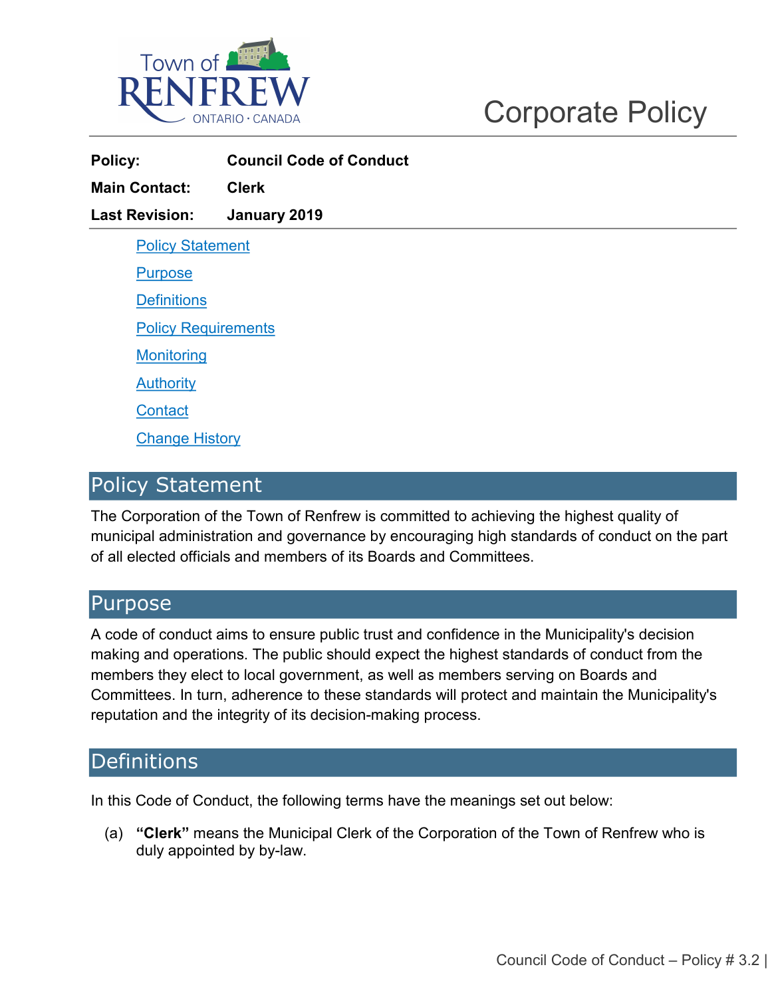

| Policy:                    | <b>Council Code of Conduct</b> |
|----------------------------|--------------------------------|
| <b>Main Contact:</b>       | <b>Clerk</b>                   |
| <b>Last Revision:</b>      | January 2019                   |
| <b>Policy Statement</b>    |                                |
| <b>Purpose</b>             |                                |
| <b>Definitions</b>         |                                |
| <b>Policy Requirements</b> |                                |
| <b>Monitoring</b>          |                                |
| <b>Authority</b>           |                                |
| <b>Contact</b>             |                                |
| <b>Change History</b>      |                                |

## <span id="page-1-0"></span>Policy Statement

The Corporation of the Town of Renfrew is committed to achieving the highest quality of municipal administration and governance by encouraging high standards of conduct on the part of all elected officials and members of its Boards and Committees.

## <span id="page-1-1"></span>Purpose

A code of conduct aims to ensure public trust and confidence in the Municipality's decision making and operations. The public should expect the highest standards of conduct from the members they elect to local government, as well as members serving on Boards and Committees. In turn, adherence to these standards will protect and maintain the Municipality's reputation and the integrity of its decision-making process.

## <span id="page-1-2"></span>**Definitions**

<span id="page-1-3"></span>In this Code of Conduct, the following terms have the meanings set out below:

(a) **"Clerk"** means the Municipal Clerk of the Corporation of the Town of Renfrew who is duly appointed by by-law.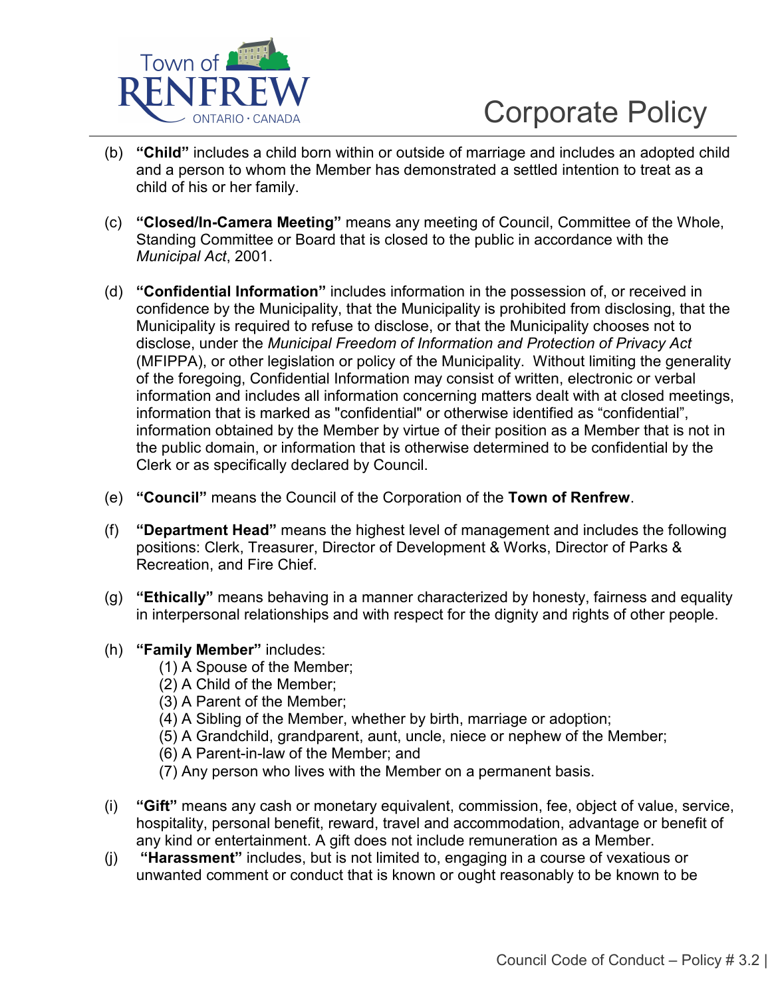

- (b) **"Child"** includes a child born within or outside of marriage and includes an adopted child and a person to whom the Member has demonstrated a settled intention to treat as a child of his or her family.
- (c) **"Closed/In-Camera Meeting"** means any meeting of Council, Committee of the Whole, Standing Committee or Board that is closed to the public in accordance with the *Municipal Act*, 2001.
- (d) **"Confidential Information"** includes information in the possession of, or received in confidence by the Municipality, that the Municipality is prohibited from disclosing, that the Municipality is required to refuse to disclose, or that the Municipality chooses not to disclose, under the *Municipal Freedom of Information and Protection of Privacy Act* (MFIPPA), or other legislation or policy of the Municipality. Without limiting the generality of the foregoing, Confidential Information may consist of written, electronic or verbal information and includes all information concerning matters dealt with at closed meetings, information that is marked as "confidential" or otherwise identified as "confidential", information obtained by the Member by virtue of their position as a Member that is not in the public domain, or information that is otherwise determined to be confidential by the Clerk or as specifically declared by Council.
- (e) **"Council"** means the Council of the Corporation of the **Town of Renfrew**.
- (f) **"Department Head"** means the highest level of management and includes the following positions: Clerk, Treasurer, Director of Development & Works, Director of Parks & Recreation, and Fire Chief.
- (g) **"Ethically"** means behaving in a manner characterized by honesty, fairness and equality in interpersonal relationships and with respect for the dignity and rights of other people.
- (h) **"Family Member"** includes:
	- (1) A Spouse of the Member;
	- (2) A Child of the Member;
	- (3) A Parent of the Member;
	- (4) A Sibling of the Member, whether by birth, marriage or adoption;
	- (5) A Grandchild, grandparent, aunt, uncle, niece or nephew of the Member;
	- (6) A Parent-in-law of the Member; and
	- (7) Any person who lives with the Member on a permanent basis.
- (i) **"Gift"** means any cash or monetary equivalent, commission, fee, object of value, service, hospitality, personal benefit, reward, travel and accommodation, advantage or benefit of any kind or entertainment. A gift does not include remuneration as a Member.
- (j) **"Harassment"** includes, but is not limited to, engaging in a course of vexatious or unwanted comment or conduct that is known or ought reasonably to be known to be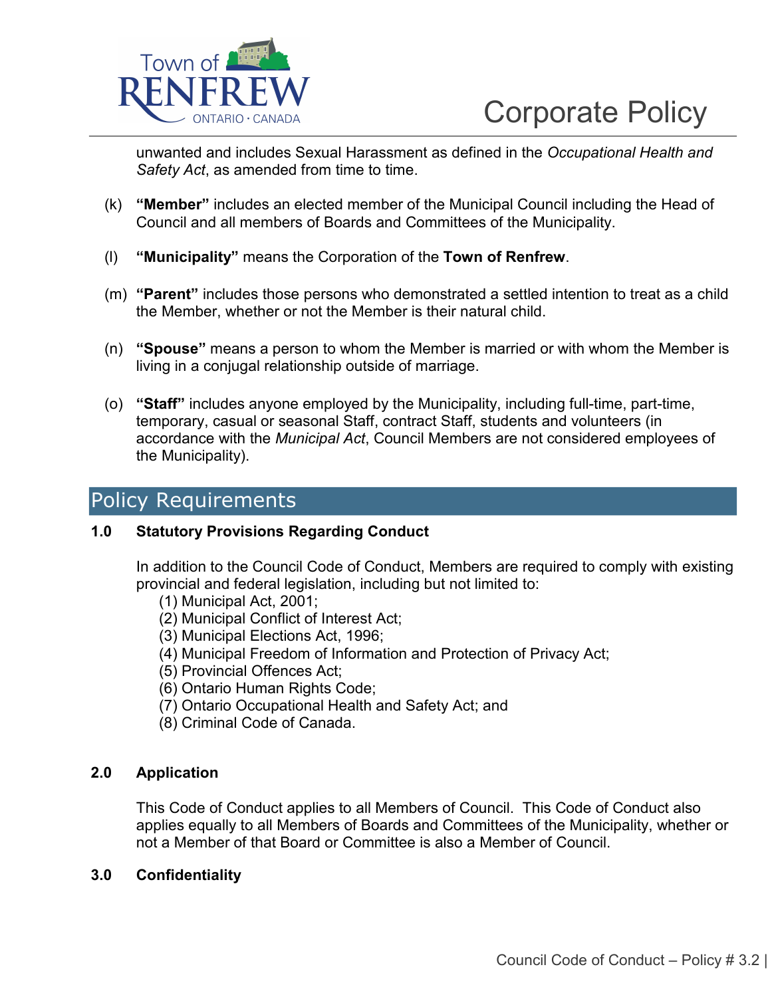

unwanted and includes Sexual Harassment as defined in the *Occupational Health and Safety Act*, as amended from time to time.

- (k) **"Member"** includes an elected member of the Municipal Council including the Head of Council and all members of Boards and Committees of the Municipality.
- (l) **"Municipality"** means the Corporation of the **Town of Renfrew**.
- (m) **"Parent"** includes those persons who demonstrated a settled intention to treat as a child the Member, whether or not the Member is their natural child.
- (n) **"Spouse"** means a person to whom the Member is married or with whom the Member is living in a conjugal relationship outside of marriage.
- (o) **"Staff"** includes anyone employed by the Municipality, including full-time, part-time, temporary, casual or seasonal Staff, contract Staff, students and volunteers (in accordance with the *Municipal Act*, Council Members are not considered employees of the Municipality).

## Policy Requirements

### **1.0 Statutory Provisions Regarding Conduct**

In addition to the Council Code of Conduct, Members are required to comply with existing provincial and federal legislation, including but not limited to:

- (1) Municipal Act, 2001;
- (2) Municipal Conflict of Interest Act;
- (3) Municipal Elections Act, 1996;
- (4) Municipal Freedom of Information and Protection of Privacy Act;
- (5) Provincial Offences Act;
- (6) Ontario Human Rights Code;
- (7) Ontario Occupational Health and Safety Act; and
- (8) Criminal Code of Canada.

### **2.0 Application**

This Code of Conduct applies to all Members of Council. This Code of Conduct also applies equally to all Members of Boards and Committees of the Municipality, whether or not a Member of that Board or Committee is also a Member of Council.

### **3.0 Confidentiality**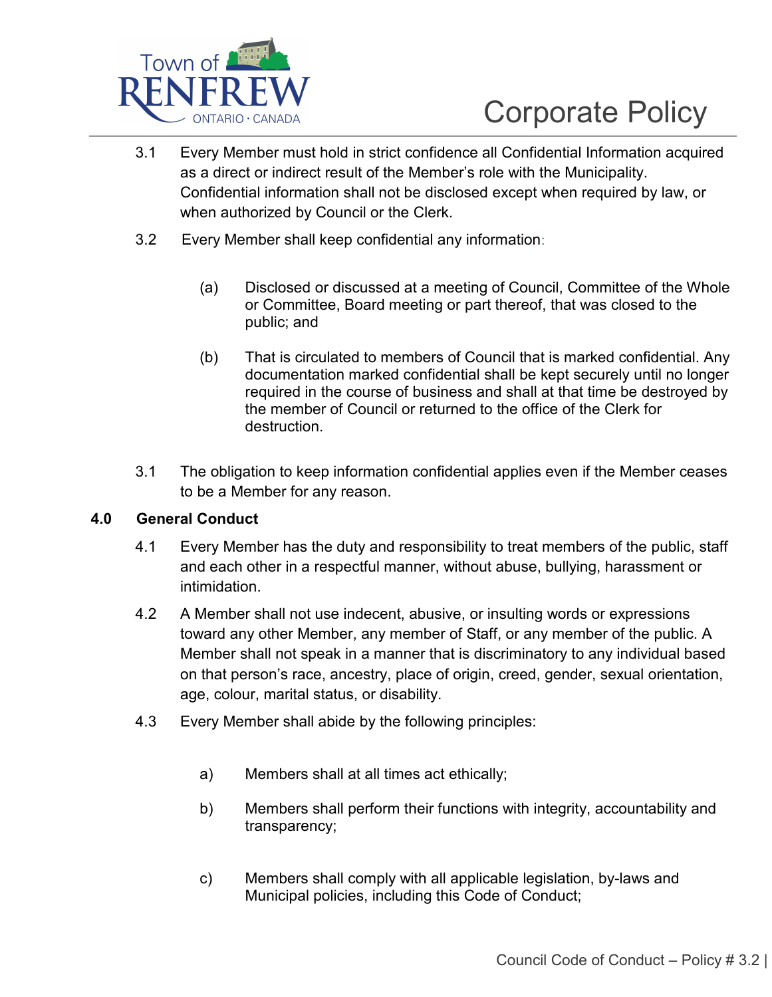

- 3.1 Every Member must hold in strict confidence all Confidential Information acquired as a direct or indirect result of the Member's role with the Municipality. Confidential information shall not be disclosed except when required by law, or when authorized by Council or the Clerk.
- 3.2 Every Member shall keep confidential any information:
	- (a) Disclosed or discussed at a meeting of Council, Committee of the Whole or Committee, Board meeting or part thereof, that was closed to the public; and
	- (b) That is circulated to members of Council that is marked confidential. Any documentation marked confidential shall be kept securely until no longer required in the course of business and shall at that time be destroyed by the member of Council or returned to the office of the Clerk for destruction.
- 3.1 The obligation to keep information confidential applies even if the Member ceases to be a Member for any reason.

### **4.0 General Conduct**

- 4.1 Every Member has the duty and responsibility to treat members of the public, staff and each other in a respectful manner, without abuse, bullying, harassment or intimidation.
- 4.2 A Member shall not use indecent, abusive, or insulting words or expressions toward any other Member, any member of Staff, or any member of the public. A Member shall not speak in a manner that is discriminatory to any individual based on that person's race, ancestry, place of origin, creed, gender, sexual orientation, age, colour, marital status, or disability.
- 4.3 Every Member shall abide by the following principles:
	- a) Members shall at all times act ethically;
	- b) Members shall perform their functions with integrity, accountability and transparency;
	- c) Members shall comply with all applicable legislation, by-laws and Municipal policies, including this Code of Conduct;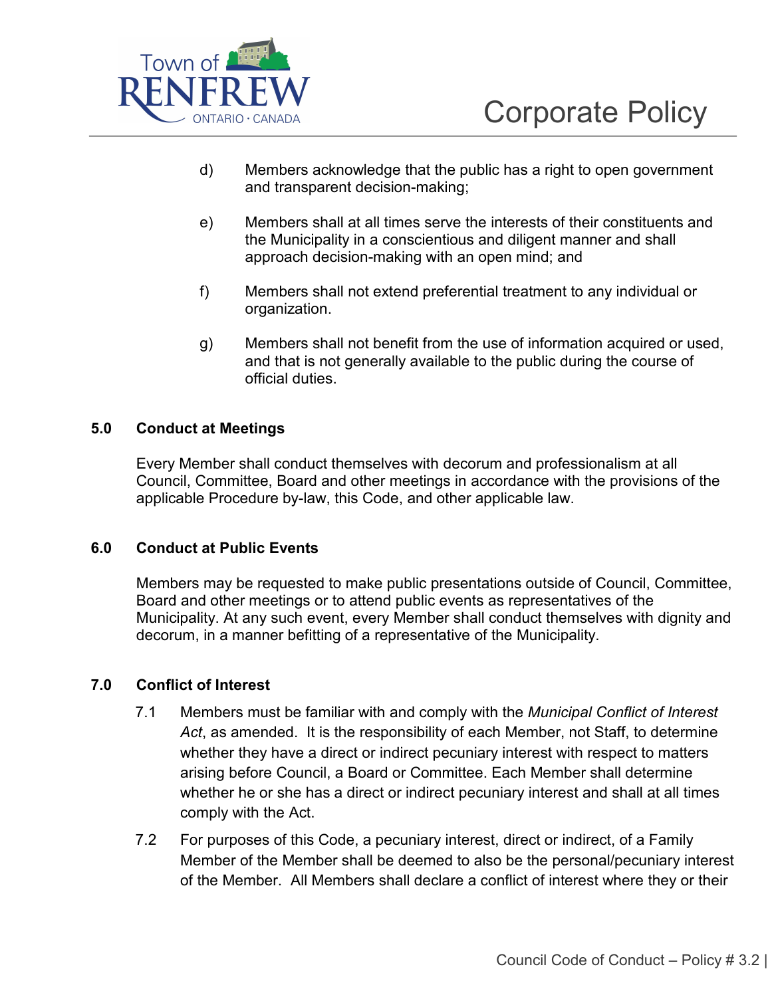

- d) Members acknowledge that the public has a right to open government and transparent decision-making;
- e) Members shall at all times serve the interests of their constituents and the Municipality in a conscientious and diligent manner and shall approach decision-making with an open mind; and
- f) Members shall not extend preferential treatment to any individual or organization.
- g) Members shall not benefit from the use of information acquired or used, and that is not generally available to the public during the course of official duties.

### **5.0 Conduct at Meetings**

Every Member shall conduct themselves with decorum and professionalism at all Council, Committee, Board and other meetings in accordance with the provisions of the applicable Procedure by-law, this Code, and other applicable law.

### **6.0 Conduct at Public Events**

Members may be requested to make public presentations outside of Council, Committee, Board and other meetings or to attend public events as representatives of the Municipality. At any such event, every Member shall conduct themselves with dignity and decorum, in a manner befitting of a representative of the Municipality.

### **7.0 Conflict of Interest**

- 7.1 Members must be familiar with and comply with the *Municipal Conflict of Interest Act*, as amended. It is the responsibility of each Member, not Staff, to determine whether they have a direct or indirect pecuniary interest with respect to matters arising before Council, a Board or Committee. Each Member shall determine whether he or she has a direct or indirect pecuniary interest and shall at all times comply with the Act.
- 7.2 For purposes of this Code, a pecuniary interest, direct or indirect, of a Family Member of the Member shall be deemed to also be the personal/pecuniary interest of the Member. All Members shall declare a conflict of interest where they or their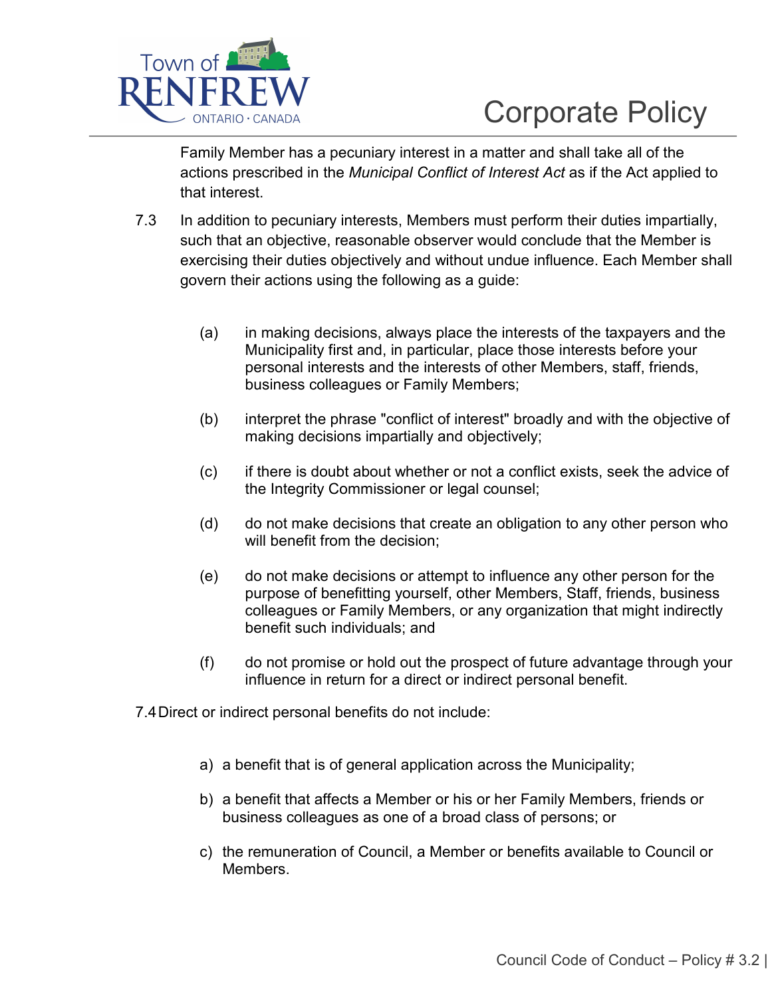

Family Member has a pecuniary interest in a matter and shall take all of the actions prescribed in the *Municipal Conflict of Interest Act* as if the Act applied to that interest.

- 7.3 In addition to pecuniary interests, Members must perform their duties impartially, such that an objective, reasonable observer would conclude that the Member is exercising their duties objectively and without undue influence. Each Member shall govern their actions using the following as a guide:
	- (a) in making decisions, always place the interests of the taxpayers and the Municipality first and, in particular, place those interests before your personal interests and the interests of other Members, staff, friends, business colleagues or Family Members;
	- (b) interpret the phrase "conflict of interest" broadly and with the objective of making decisions impartially and objectively;
	- (c) if there is doubt about whether or not a conflict exists, seek the advice of the Integrity Commissioner or legal counsel;
	- (d) do not make decisions that create an obligation to any other person who will benefit from the decision;
	- (e) do not make decisions or attempt to influence any other person for the purpose of benefitting yourself, other Members, Staff, friends, business colleagues or Family Members, or any organization that might indirectly benefit such individuals; and
	- (f) do not promise or hold out the prospect of future advantage through your influence in return for a direct or indirect personal benefit.
- 7.4 Direct or indirect personal benefits do not include:
	- a) a benefit that is of general application across the Municipality;
	- b) a benefit that affects a Member or his or her Family Members, friends or business colleagues as one of a broad class of persons; or
	- c) the remuneration of Council, a Member or benefits available to Council or **Members**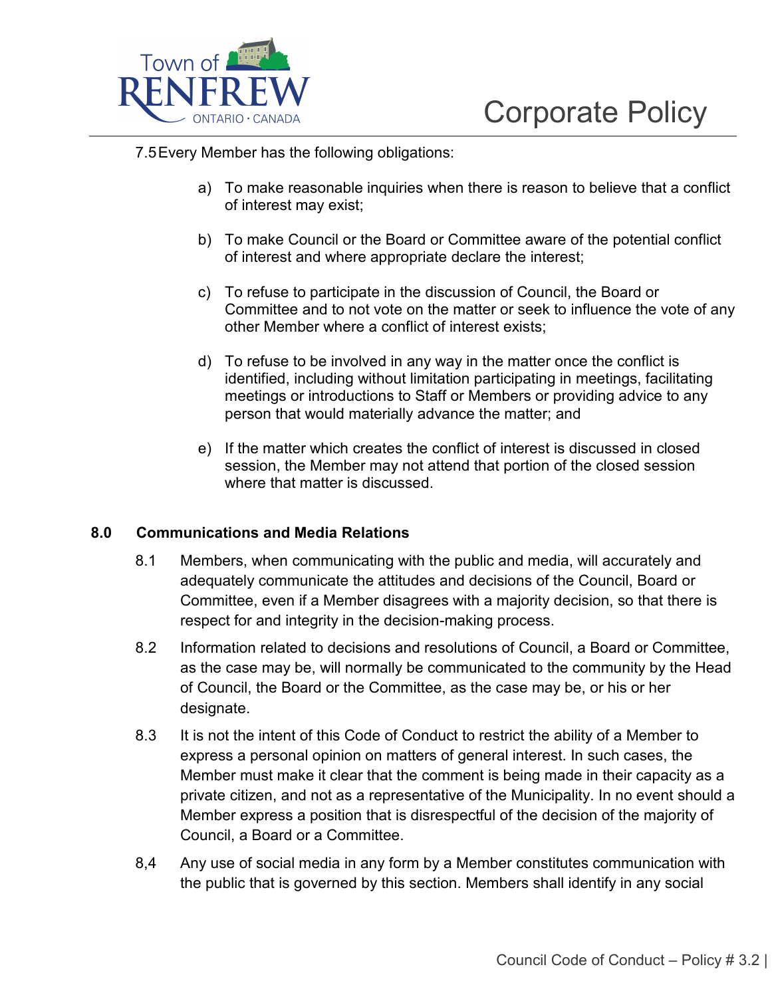

7.5 Every Member has the following obligations:

- a) To make reasonable inquiries when there is reason to believe that a conflict of interest may exist;
- b) To make Council or the Board or Committee aware of the potential conflict of interest and where appropriate declare the interest;
- c) To refuse to participate in the discussion of Council, the Board or Committee and to not vote on the matter or seek to influence the vote of any other Member where a conflict of interest exists;
- d) To refuse to be involved in any way in the matter once the conflict is identified, including without limitation participating in meetings, facilitating meetings or introductions to Staff or Members or providing advice to any person that would materially advance the matter; and
- e) If the matter which creates the conflict of interest is discussed in closed session, the Member may not attend that portion of the closed session where that matter is discussed.

### **8.0 Communications and Media Relations**

- 8.1 Members, when communicating with the public and media, will accurately and adequately communicate the attitudes and decisions of the Council, Board or Committee, even if a Member disagrees with a majority decision, so that there is respect for and integrity in the decision-making process.
- 8.2 Information related to decisions and resolutions of Council, a Board or Committee, as the case may be, will normally be communicated to the community by the Head of Council, the Board or the Committee, as the case may be, or his or her designate.
- 8.3 It is not the intent of this Code of Conduct to restrict the ability of a Member to express a personal opinion on matters of general interest. In such cases, the Member must make it clear that the comment is being made in their capacity as a private citizen, and not as a representative of the Municipality. In no event should a Member express a position that is disrespectful of the decision of the majority of Council, a Board or a Committee.
- 8,4 Any use of social media in any form by a Member constitutes communication with the public that is governed by this section. Members shall identify in any social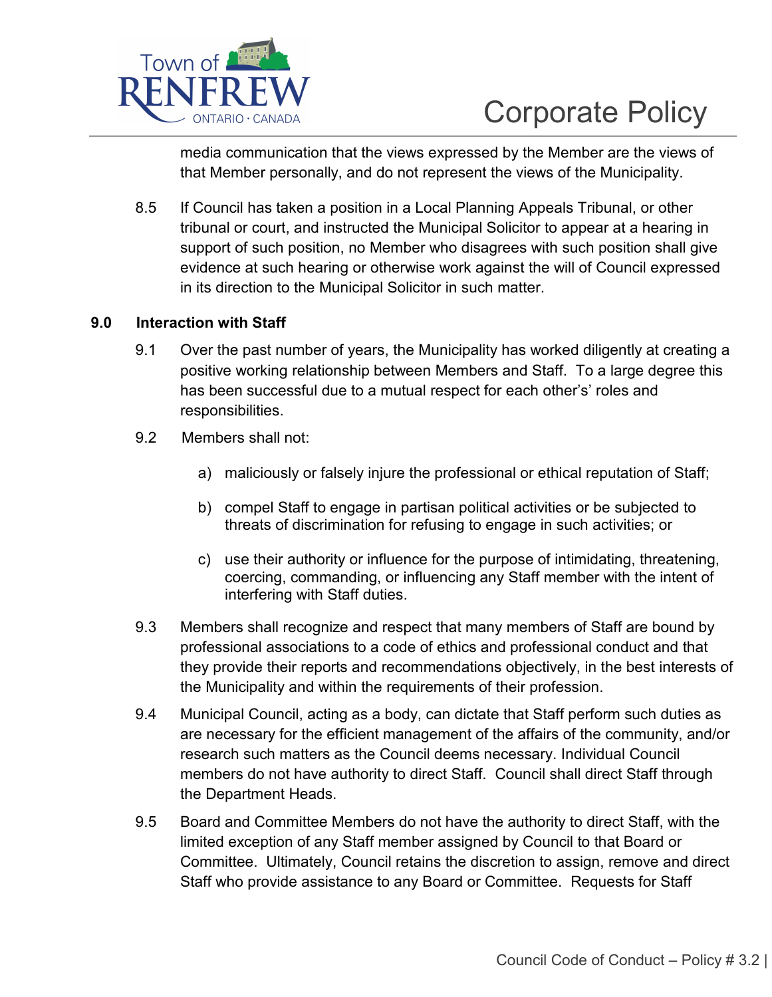

media communication that the views expressed by the Member are the views of that Member personally, and do not represent the views of the Municipality.

8.5 If Council has taken a position in a Local Planning Appeals Tribunal, or other tribunal or court, and instructed the Municipal Solicitor to appear at a hearing in support of such position, no Member who disagrees with such position shall give evidence at such hearing or otherwise work against the will of Council expressed in its direction to the Municipal Solicitor in such matter.

### **9.0 Interaction with Staff**

- 9.1 Over the past number of years, the Municipality has worked diligently at creating a positive working relationship between Members and Staff. To a large degree this has been successful due to a mutual respect for each other's' roles and responsibilities.
- 9.2 Members shall not:
	- a) maliciously or falsely injure the professional or ethical reputation of Staff;
	- b) compel Staff to engage in partisan political activities or be subjected to threats of discrimination for refusing to engage in such activities; or
	- c) use their authority or influence for the purpose of intimidating, threatening, coercing, commanding, or influencing any Staff member with the intent of interfering with Staff duties.
- 9.3 Members shall recognize and respect that many members of Staff are bound by professional associations to a code of ethics and professional conduct and that they provide their reports and recommendations objectively, in the best interests of the Municipality and within the requirements of their profession.
- 9.4 Municipal Council, acting as a body, can dictate that Staff perform such duties as are necessary for the efficient management of the affairs of the community, and/or research such matters as the Council deems necessary. Individual Council members do not have authority to direct Staff. Council shall direct Staff through the Department Heads.
- 9.5 Board and Committee Members do not have the authority to direct Staff, with the limited exception of any Staff member assigned by Council to that Board or Committee. Ultimately, Council retains the discretion to assign, remove and direct Staff who provide assistance to any Board or Committee. Requests for Staff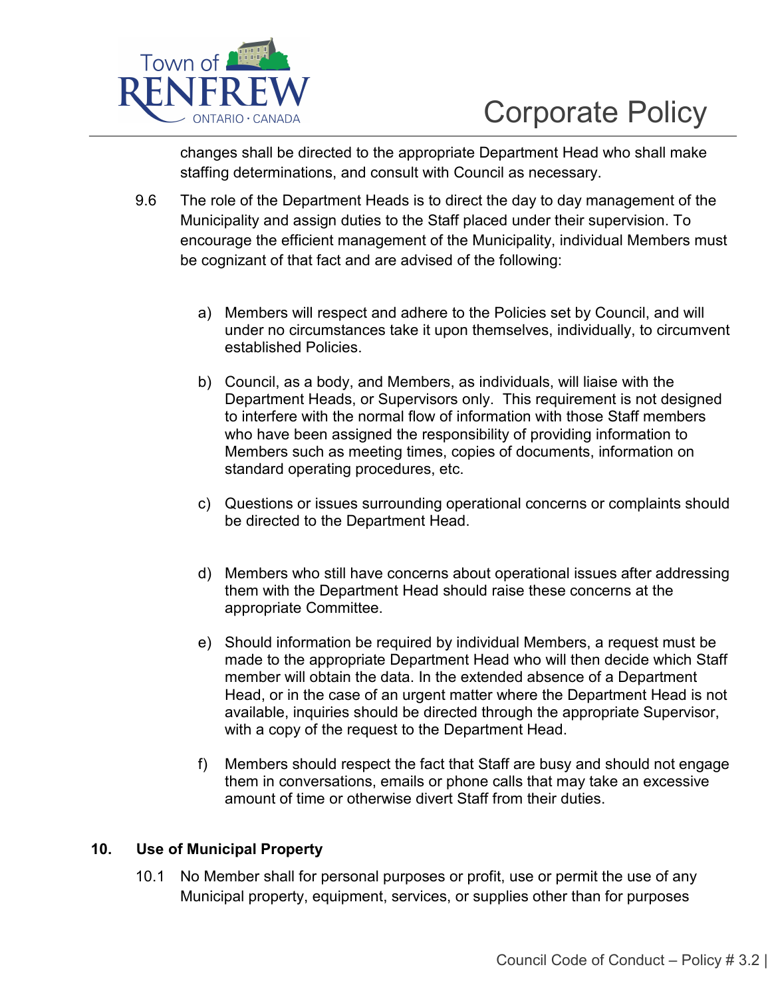

changes shall be directed to the appropriate Department Head who shall make staffing determinations, and consult with Council as necessary.

- 9.6 The role of the Department Heads is to direct the day to day management of the Municipality and assign duties to the Staff placed under their supervision. To encourage the efficient management of the Municipality, individual Members must be cognizant of that fact and are advised of the following:
	- a) Members will respect and adhere to the Policies set by Council, and will under no circumstances take it upon themselves, individually, to circumvent established Policies.
	- b) Council, as a body, and Members, as individuals, will liaise with the Department Heads, or Supervisors only. This requirement is not designed to interfere with the normal flow of information with those Staff members who have been assigned the responsibility of providing information to Members such as meeting times, copies of documents, information on standard operating procedures, etc.
	- c) Questions or issues surrounding operational concerns or complaints should be directed to the Department Head.
	- d) Members who still have concerns about operational issues after addressing them with the Department Head should raise these concerns at the appropriate Committee.
	- e) Should information be required by individual Members, a request must be made to the appropriate Department Head who will then decide which Staff member will obtain the data. In the extended absence of a Department Head, or in the case of an urgent matter where the Department Head is not available, inquiries should be directed through the appropriate Supervisor, with a copy of the request to the Department Head.
	- f) Members should respect the fact that Staff are busy and should not engage them in conversations, emails or phone calls that may take an excessive amount of time or otherwise divert Staff from their duties.

### **10. Use of Municipal Property**

10.1 No Member shall for personal purposes or profit, use or permit the use of any Municipal property, equipment, services, or supplies other than for purposes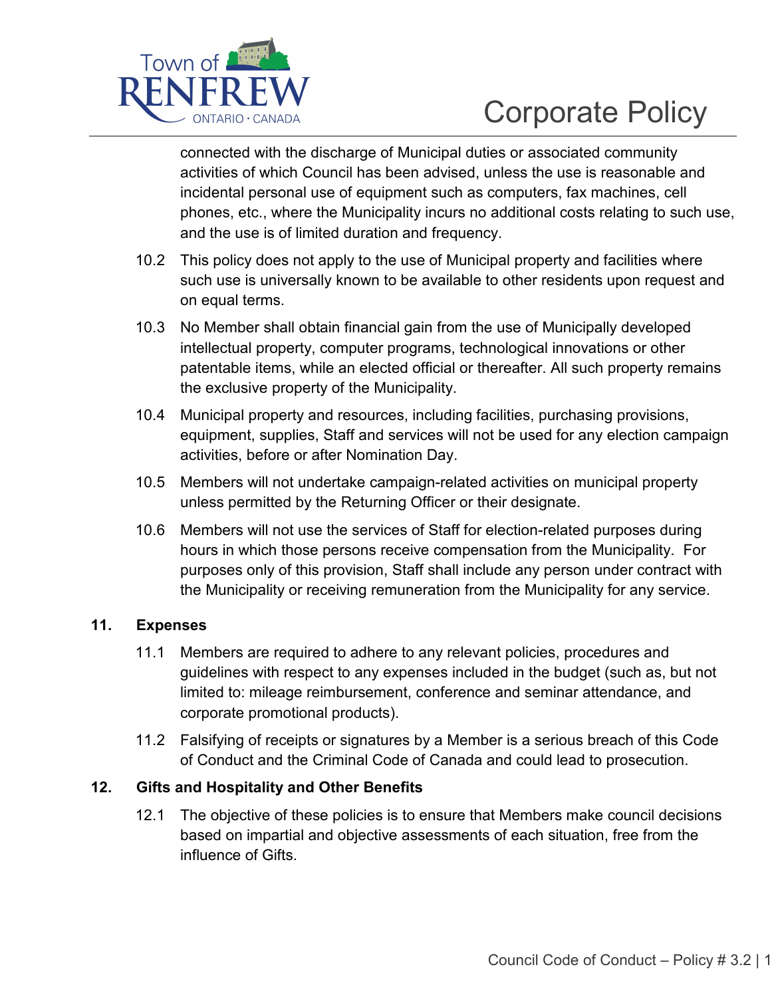

connected with the discharge of Municipal duties or associated community activities of which Council has been advised, unless the use is reasonable and incidental personal use of equipment such as computers, fax machines, cell phones, etc., where the Municipality incurs no additional costs relating to such use, and the use is of limited duration and frequency.

- 10.2 This policy does not apply to the use of Municipal property and facilities where such use is universally known to be available to other residents upon request and on equal terms.
- 10.3 No Member shall obtain financial gain from the use of Municipally developed intellectual property, computer programs, technological innovations or other patentable items, while an elected official or thereafter. All such property remains the exclusive property of the Municipality.
- 10.4 Municipal property and resources, including facilities, purchasing provisions, equipment, supplies, Staff and services will not be used for any election campaign activities, before or after Nomination Day.
- 10.5 Members will not undertake campaign-related activities on municipal property unless permitted by the Returning Officer or their designate.
- 10.6 Members will not use the services of Staff for election-related purposes during hours in which those persons receive compensation from the Municipality. For purposes only of this provision, Staff shall include any person under contract with the Municipality or receiving remuneration from the Municipality for any service.

## **11. Expenses**

- 11.1 Members are required to adhere to any relevant policies, procedures and guidelines with respect to any expenses included in the budget (such as, but not limited to: mileage reimbursement, conference and seminar attendance, and corporate promotional products).
- 11.2 Falsifying of receipts or signatures by a Member is a serious breach of this Code of Conduct and the Criminal Code of Canada and could lead to prosecution.

### **12. Gifts and Hospitality and Other Benefits**

12.1 The objective of these policies is to ensure that Members make council decisions based on impartial and objective assessments of each situation, free from the influence of Gifts.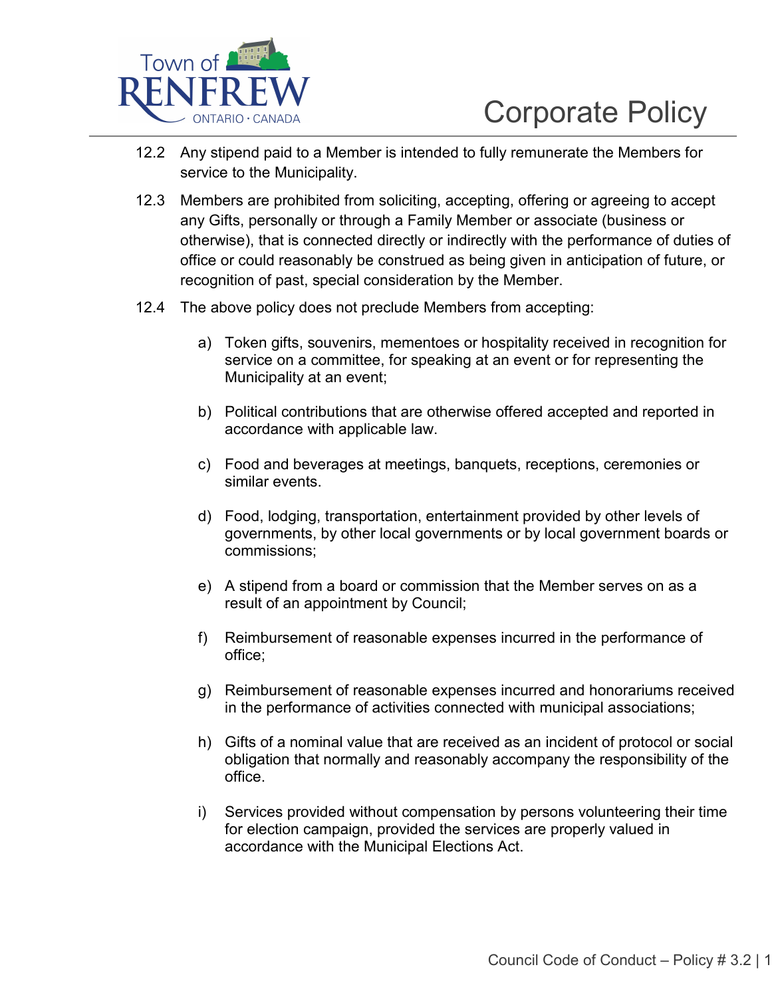

- 12.2 Any stipend paid to a Member is intended to fully remunerate the Members for service to the Municipality.
- 12.3 Members are prohibited from soliciting, accepting, offering or agreeing to accept any Gifts, personally or through a Family Member or associate (business or otherwise), that is connected directly or indirectly with the performance of duties of office or could reasonably be construed as being given in anticipation of future, or recognition of past, special consideration by the Member.
- 12.4 The above policy does not preclude Members from accepting:
	- a) Token gifts, souvenirs, mementoes or hospitality received in recognition for service on a committee, for speaking at an event or for representing the Municipality at an event;
	- b) Political contributions that are otherwise offered accepted and reported in accordance with applicable law.
	- c) Food and beverages at meetings, banquets, receptions, ceremonies or similar events.
	- d) Food, lodging, transportation, entertainment provided by other levels of governments, by other local governments or by local government boards or commissions;
	- e) A stipend from a board or commission that the Member serves on as a result of an appointment by Council;
	- f) Reimbursement of reasonable expenses incurred in the performance of office;
	- g) Reimbursement of reasonable expenses incurred and honorariums received in the performance of activities connected with municipal associations;
	- h) Gifts of a nominal value that are received as an incident of protocol or social obligation that normally and reasonably accompany the responsibility of the office.
	- i) Services provided without compensation by persons volunteering their time for election campaign, provided the services are properly valued in accordance with the Municipal Elections Act.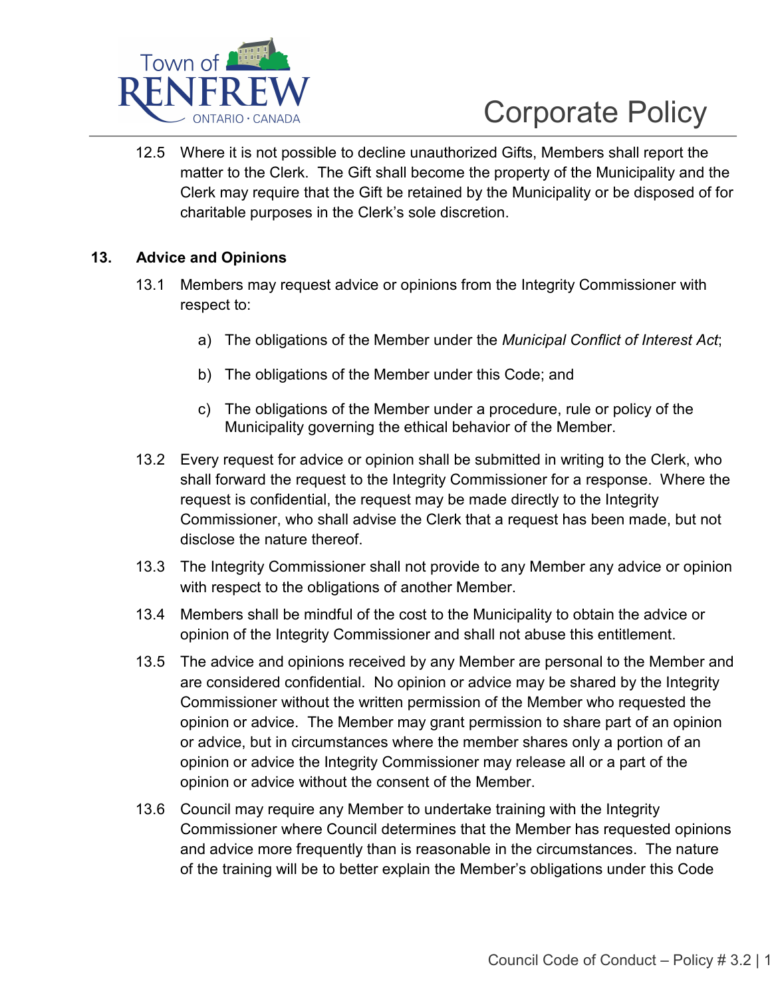

12.5 Where it is not possible to decline unauthorized Gifts, Members shall report the matter to the Clerk. The Gift shall become the property of the Municipality and the Clerk may require that the Gift be retained by the Municipality or be disposed of for charitable purposes in the Clerk's sole discretion.

### **13. Advice and Opinions**

- 13.1 Members may request advice or opinions from the Integrity Commissioner with respect to:
	- a) The obligations of the Member under the *Municipal Conflict of Interest Act*;
	- b) The obligations of the Member under this Code; and
	- c) The obligations of the Member under a procedure, rule or policy of the Municipality governing the ethical behavior of the Member.
- 13.2 Every request for advice or opinion shall be submitted in writing to the Clerk, who shall forward the request to the Integrity Commissioner for a response. Where the request is confidential, the request may be made directly to the Integrity Commissioner, who shall advise the Clerk that a request has been made, but not disclose the nature thereof.
- 13.3 The Integrity Commissioner shall not provide to any Member any advice or opinion with respect to the obligations of another Member.
- 13.4 Members shall be mindful of the cost to the Municipality to obtain the advice or opinion of the Integrity Commissioner and shall not abuse this entitlement.
- 13.5 The advice and opinions received by any Member are personal to the Member and are considered confidential. No opinion or advice may be shared by the Integrity Commissioner without the written permission of the Member who requested the opinion or advice. The Member may grant permission to share part of an opinion or advice, but in circumstances where the member shares only a portion of an opinion or advice the Integrity Commissioner may release all or a part of the opinion or advice without the consent of the Member.
- 13.6 Council may require any Member to undertake training with the Integrity Commissioner where Council determines that the Member has requested opinions and advice more frequently than is reasonable in the circumstances. The nature of the training will be to better explain the Member's obligations under this Code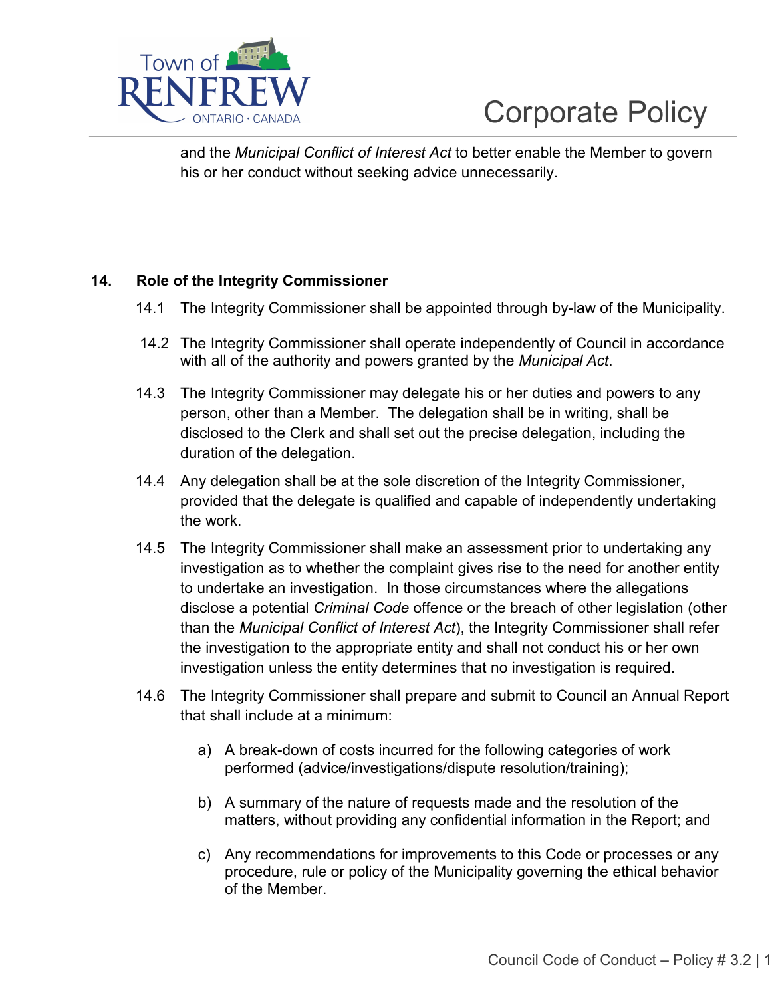

and the *Municipal Conflict of Interest Act* to better enable the Member to govern his or her conduct without seeking advice unnecessarily.

## **14. Role of the Integrity Commissioner**

- 14.1 The Integrity Commissioner shall be appointed through by-law of the Municipality.
- 14.2 The Integrity Commissioner shall operate independently of Council in accordance with all of the authority and powers granted by the *Municipal Act*.
- 14.3 The Integrity Commissioner may delegate his or her duties and powers to any person, other than a Member. The delegation shall be in writing, shall be disclosed to the Clerk and shall set out the precise delegation, including the duration of the delegation.
- 14.4 Any delegation shall be at the sole discretion of the Integrity Commissioner, provided that the delegate is qualified and capable of independently undertaking the work.
- 14.5 The Integrity Commissioner shall make an assessment prior to undertaking any investigation as to whether the complaint gives rise to the need for another entity to undertake an investigation. In those circumstances where the allegations disclose a potential *Criminal Code* offence or the breach of other legislation (other than the *Municipal Conflict of Interest Act*), the Integrity Commissioner shall refer the investigation to the appropriate entity and shall not conduct his or her own investigation unless the entity determines that no investigation is required.
- 14.6 The Integrity Commissioner shall prepare and submit to Council an Annual Report that shall include at a minimum:
	- a) A break-down of costs incurred for the following categories of work performed (advice/investigations/dispute resolution/training);
	- b) A summary of the nature of requests made and the resolution of the matters, without providing any confidential information in the Report; and
	- c) Any recommendations for improvements to this Code or processes or any procedure, rule or policy of the Municipality governing the ethical behavior of the Member.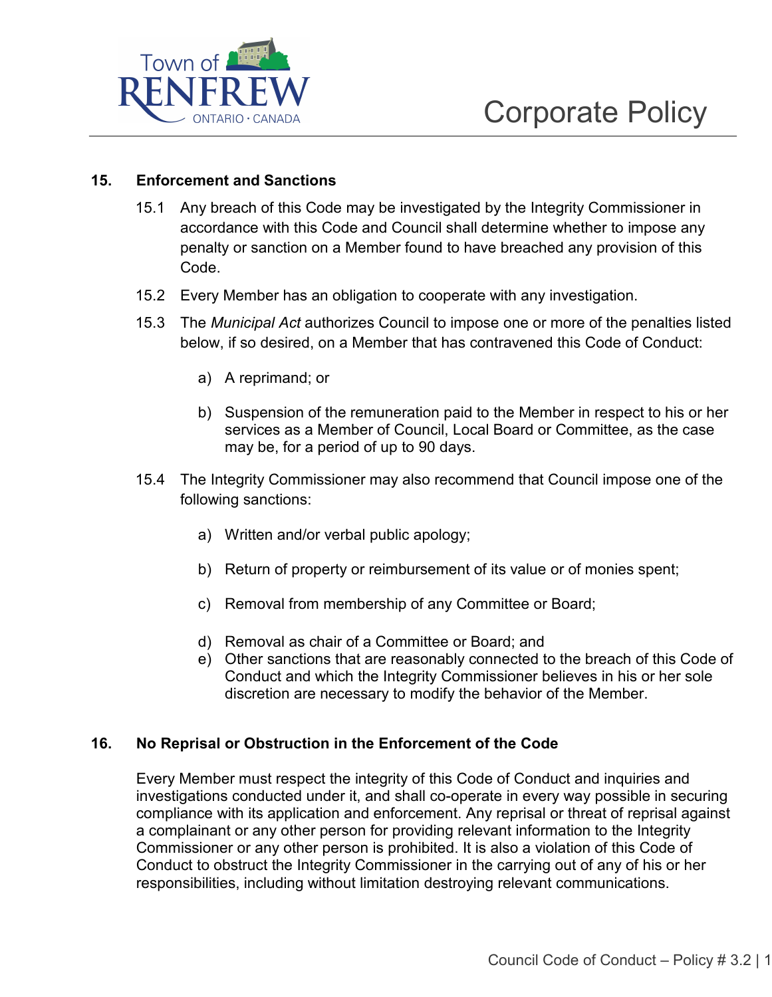

### **15. Enforcement and Sanctions**

- 15.1 Any breach of this Code may be investigated by the Integrity Commissioner in accordance with this Code and Council shall determine whether to impose any penalty or sanction on a Member found to have breached any provision of this Code.
- 15.2 Every Member has an obligation to cooperate with any investigation.
- 15.3 The *Municipal Act* authorizes Council to impose one or more of the penalties listed below, if so desired, on a Member that has contravened this Code of Conduct:
	- a) A reprimand; or
	- b) Suspension of the remuneration paid to the Member in respect to his or her services as a Member of Council, Local Board or Committee, as the case may be, for a period of up to 90 days.
- 15.4 The Integrity Commissioner may also recommend that Council impose one of the following sanctions:
	- a) Written and/or verbal public apology;
	- b) Return of property or reimbursement of its value or of monies spent;
	- c) Removal from membership of any Committee or Board;
	- d) Removal as chair of a Committee or Board; and
	- e) Other sanctions that are reasonably connected to the breach of this Code of Conduct and which the Integrity Commissioner believes in his or her sole discretion are necessary to modify the behavior of the Member.

### **16. No Reprisal or Obstruction in the Enforcement of the Code**

Every Member must respect the integrity of this Code of Conduct and inquiries and investigations conducted under it, and shall co-operate in every way possible in securing compliance with its application and enforcement. Any reprisal or threat of reprisal against a complainant or any other person for providing relevant information to the Integrity Commissioner or any other person is prohibited. It is also a violation of this Code of Conduct to obstruct the Integrity Commissioner in the carrying out of any of his or her responsibilities, including without limitation destroying relevant communications.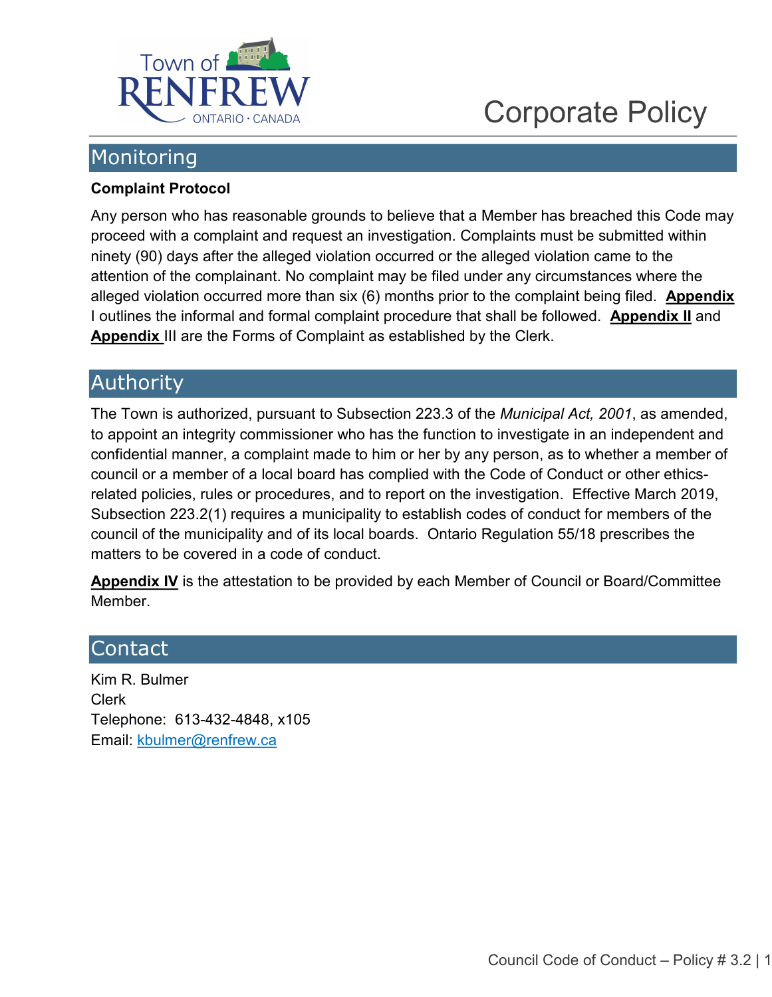

## <span id="page-15-0"></span>Monitoring

## <span id="page-15-1"></span>**Complaint Protocol**

Any person who has reasonable grounds to believe that a Member has breached this Code may proceed with a complaint and request an investigation. Complaints must be submitted within ninety (90) days after the alleged violation occurred or the alleged violation came to the attention of the complainant. No complaint may be filed under any circumstances where the alleged violation occurred more than six (6) months prior to the complaint being filed. **Appendix**  I outlines the informal and formal complaint procedure that shall be followed. **Appendix II** and **Appendix** III are the Forms of Complaint as established by the Clerk.

## Authority

The Town is authorized, pursuant to Subsection 223.3 of the *Municipal Act, 2001*, as amended, to appoint an integrity commissioner who has the function to investigate in an independent and confidential manner, a complaint made to him or her by any person, as to whether a member of council or a member of a local board has complied with the Code of Conduct or other ethicsrelated policies, rules or procedures, and to report on the investigation. Effective March 2019, Subsection 223.2(1) requires a municipality to establish codes of conduct for members of the council of the municipality and of its local boards. Ontario Regulation 55/18 prescribes the matters to be covered in a code of conduct.

**Appendix IV** is the attestation to be provided by each Member of Council or Board/Committee Member.

## <span id="page-15-2"></span>Contact

Kim R. Bulmer Clerk Telephone: 613-432-4848, x105 Email: [kbulmer@renfrew.ca](mailto:kbulmer@renfrew.ca)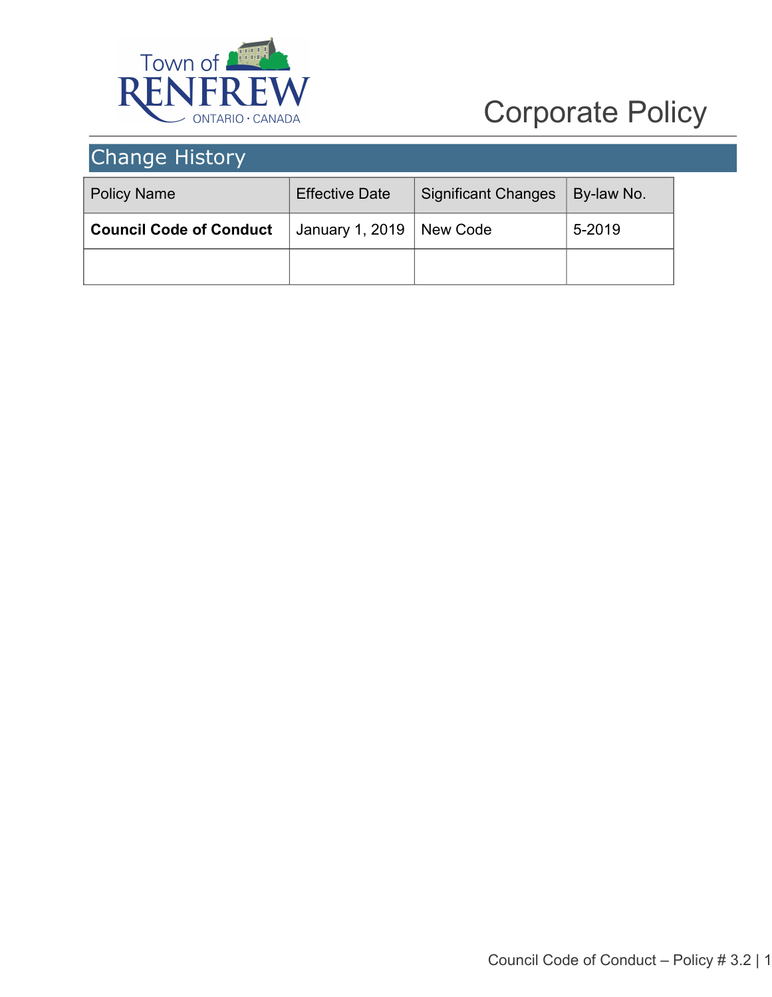

## <span id="page-16-0"></span>Change History

| <b>Policy Name</b>             | <b>Effective Date</b> | <b>Significant Changes</b> | By-law No. |
|--------------------------------|-----------------------|----------------------------|------------|
| <b>Council Code of Conduct</b> | January 1, 2019       | New Code                   | 5-2019     |
|                                |                       |                            |            |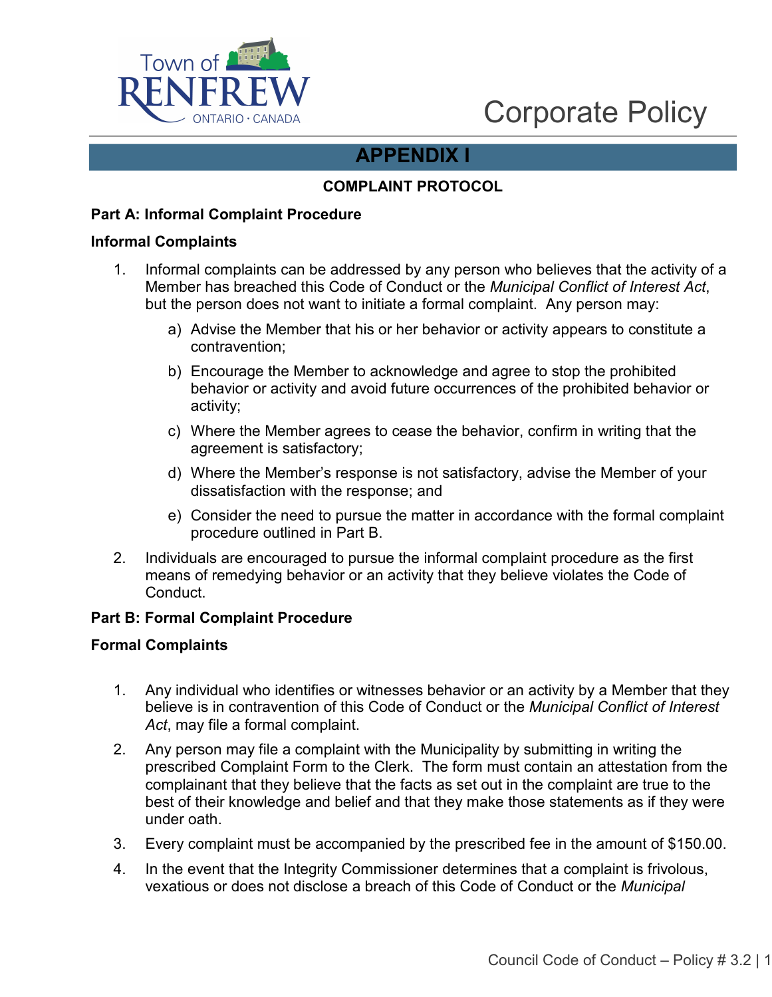

## **APPENDIX I**

### **COMPLAINT PROTOCOL**

### **Part A: Informal Complaint Procedure**

#### **Informal Complaints**

- 1. Informal complaints can be addressed by any person who believes that the activity of a Member has breached this Code of Conduct or the *Municipal Conflict of Interest Act*, but the person does not want to initiate a formal complaint. Any person may:
	- a) Advise the Member that his or her behavior or activity appears to constitute a contravention;
	- b) Encourage the Member to acknowledge and agree to stop the prohibited behavior or activity and avoid future occurrences of the prohibited behavior or activity;
	- c) Where the Member agrees to cease the behavior, confirm in writing that the agreement is satisfactory;
	- d) Where the Member's response is not satisfactory, advise the Member of your dissatisfaction with the response; and
	- e) Consider the need to pursue the matter in accordance with the formal complaint procedure outlined in Part B.
- 2. Individuals are encouraged to pursue the informal complaint procedure as the first means of remedying behavior or an activity that they believe violates the Code of **Conduct**

#### **Part B: Formal Complaint Procedure**

#### **Formal Complaints**

- 1. Any individual who identifies or witnesses behavior or an activity by a Member that they believe is in contravention of this Code of Conduct or the *Municipal Conflict of Interest Act*, may file a formal complaint.
- 2. Any person may file a complaint with the Municipality by submitting in writing the prescribed Complaint Form to the Clerk. The form must contain an attestation from the complainant that they believe that the facts as set out in the complaint are true to the best of their knowledge and belief and that they make those statements as if they were under oath.
- 3. Every complaint must be accompanied by the prescribed fee in the amount of \$150.00.
- 4. In the event that the Integrity Commissioner determines that a complaint is frivolous, vexatious or does not disclose a breach of this Code of Conduct or the *Municipal*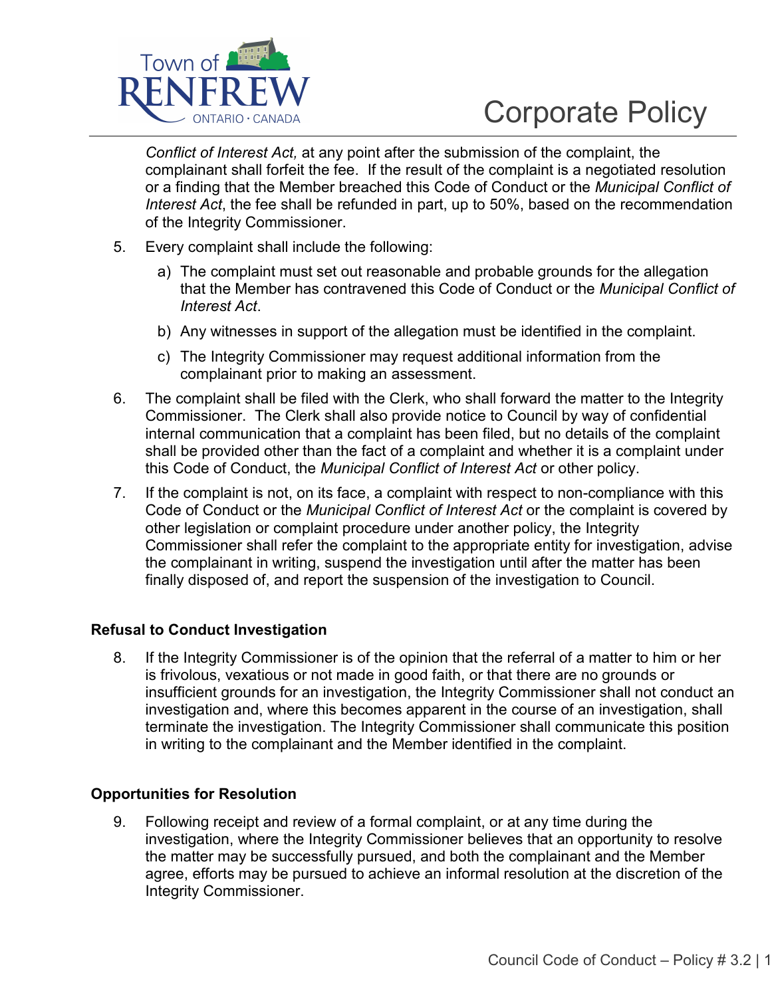

*Conflict of Interest Act,* at any point after the submission of the complaint, the complainant shall forfeit the fee. If the result of the complaint is a negotiated resolution or a finding that the Member breached this Code of Conduct or the *Municipal Conflict of Interest Act*, the fee shall be refunded in part, up to 50%, based on the recommendation of the Integrity Commissioner.

- 5. Every complaint shall include the following:
	- a) The complaint must set out reasonable and probable grounds for the allegation that the Member has contravened this Code of Conduct or the *Municipal Conflict of Interest Act*.
	- b) Any witnesses in support of the allegation must be identified in the complaint.
	- c) The Integrity Commissioner may request additional information from the complainant prior to making an assessment.
- 6. The complaint shall be filed with the Clerk, who shall forward the matter to the Integrity Commissioner. The Clerk shall also provide notice to Council by way of confidential internal communication that a complaint has been filed, but no details of the complaint shall be provided other than the fact of a complaint and whether it is a complaint under this Code of Conduct, the *Municipal Conflict of Interest Act* or other policy.
- 7. If the complaint is not, on its face, a complaint with respect to non-compliance with this Code of Conduct or the *Municipal Conflict of Interest Act* or the complaint is covered by other legislation or complaint procedure under another policy, the Integrity Commissioner shall refer the complaint to the appropriate entity for investigation, advise the complainant in writing, suspend the investigation until after the matter has been finally disposed of, and report the suspension of the investigation to Council.

#### **Refusal to Conduct Investigation**

8. If the Integrity Commissioner is of the opinion that the referral of a matter to him or her is frivolous, vexatious or not made in good faith, or that there are no grounds or insufficient grounds for an investigation, the Integrity Commissioner shall not conduct an investigation and, where this becomes apparent in the course of an investigation, shall terminate the investigation. The Integrity Commissioner shall communicate this position in writing to the complainant and the Member identified in the complaint.

### **Opportunities for Resolution**

9. Following receipt and review of a formal complaint, or at any time during the investigation, where the Integrity Commissioner believes that an opportunity to resolve the matter may be successfully pursued, and both the complainant and the Member agree, efforts may be pursued to achieve an informal resolution at the discretion of the Integrity Commissioner.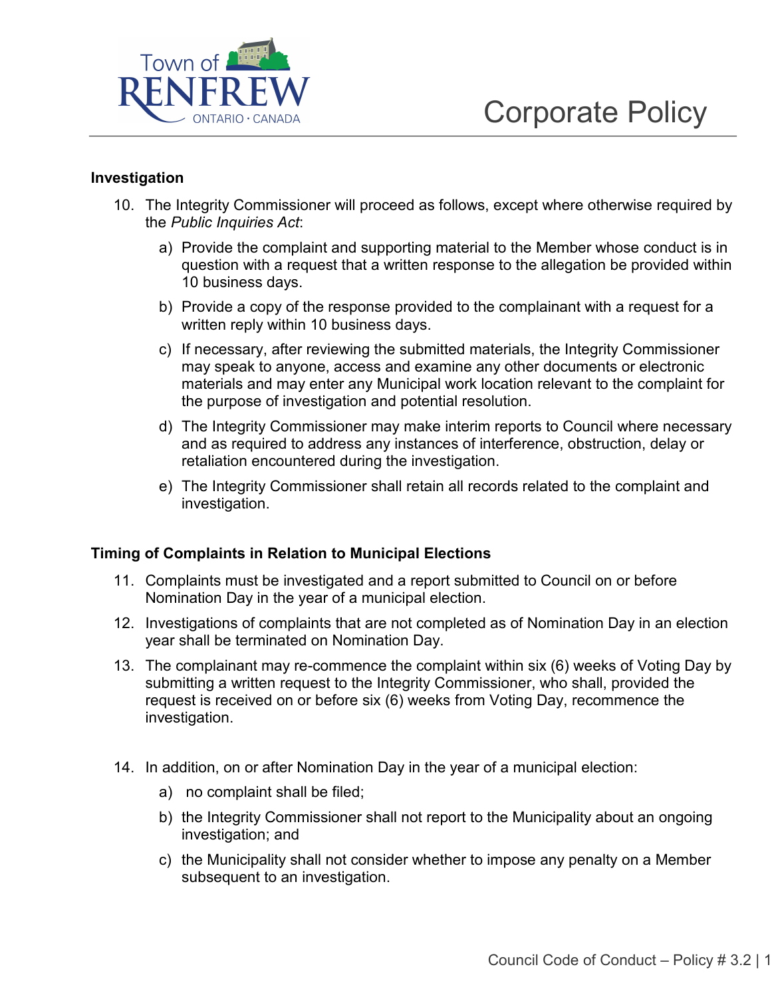

### **Investigation**

- 10. The Integrity Commissioner will proceed as follows, except where otherwise required by the *Public Inquiries Act*:
	- a) Provide the complaint and supporting material to the Member whose conduct is in question with a request that a written response to the allegation be provided within 10 business days.
	- b) Provide a copy of the response provided to the complainant with a request for a written reply within 10 business days.
	- c) If necessary, after reviewing the submitted materials, the Integrity Commissioner may speak to anyone, access and examine any other documents or electronic materials and may enter any Municipal work location relevant to the complaint for the purpose of investigation and potential resolution.
	- d) The Integrity Commissioner may make interim reports to Council where necessary and as required to address any instances of interference, obstruction, delay or retaliation encountered during the investigation.
	- e) The Integrity Commissioner shall retain all records related to the complaint and investigation.

#### **Timing of Complaints in Relation to Municipal Elections**

- 11. Complaints must be investigated and a report submitted to Council on or before Nomination Day in the year of a municipal election.
- 12. Investigations of complaints that are not completed as of Nomination Day in an election year shall be terminated on Nomination Day.
- 13. The complainant may re-commence the complaint within six (6) weeks of Voting Day by submitting a written request to the Integrity Commissioner, who shall, provided the request is received on or before six (6) weeks from Voting Day, recommence the investigation.
- 14. In addition, on or after Nomination Day in the year of a municipal election:
	- a) no complaint shall be filed;
	- b) the Integrity Commissioner shall not report to the Municipality about an ongoing investigation; and
	- c) the Municipality shall not consider whether to impose any penalty on a Member subsequent to an investigation.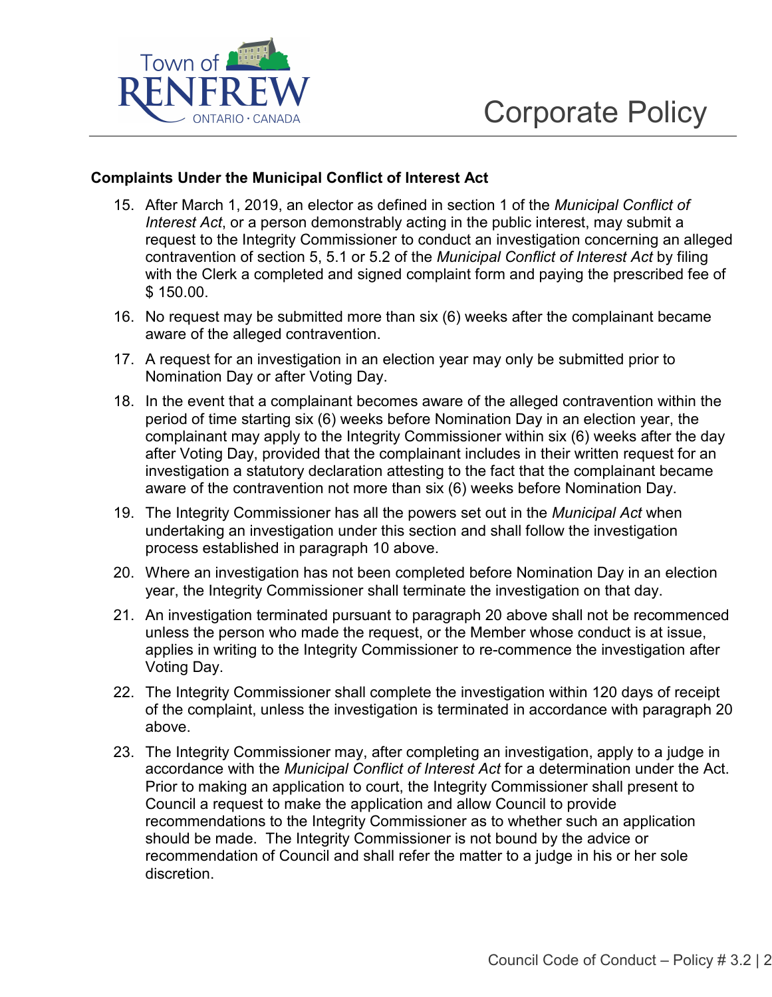

### **Complaints Under the Municipal Conflict of Interest Act**

- 15. After March 1, 2019, an elector as defined in section 1 of the *Municipal Conflict of Interest Act*, or a person demonstrably acting in the public interest, may submit a request to the Integrity Commissioner to conduct an investigation concerning an alleged contravention of section 5, 5.1 or 5.2 of the *Municipal Conflict of Interest Act* by filing with the Clerk a completed and signed complaint form and paying the prescribed fee of \$ 150.00.
- 16. No request may be submitted more than six (6) weeks after the complainant became aware of the alleged contravention.
- 17. A request for an investigation in an election year may only be submitted prior to Nomination Day or after Voting Day.
- 18. In the event that a complainant becomes aware of the alleged contravention within the period of time starting six (6) weeks before Nomination Day in an election year, the complainant may apply to the Integrity Commissioner within six (6) weeks after the day after Voting Day, provided that the complainant includes in their written request for an investigation a statutory declaration attesting to the fact that the complainant became aware of the contravention not more than six (6) weeks before Nomination Day.
- 19. The Integrity Commissioner has all the powers set out in the *Municipal Act* when undertaking an investigation under this section and shall follow the investigation process established in paragraph 10 above.
- 20. Where an investigation has not been completed before Nomination Day in an election year, the Integrity Commissioner shall terminate the investigation on that day.
- 21. An investigation terminated pursuant to paragraph 20 above shall not be recommenced unless the person who made the request, or the Member whose conduct is at issue, applies in writing to the Integrity Commissioner to re-commence the investigation after Voting Day.
- 22. The Integrity Commissioner shall complete the investigation within 120 days of receipt of the complaint, unless the investigation is terminated in accordance with paragraph 20 above.
- 23. The Integrity Commissioner may, after completing an investigation, apply to a judge in accordance with the *Municipal Conflict of Interest Act* for a determination under the Act. Prior to making an application to court, the Integrity Commissioner shall present to Council a request to make the application and allow Council to provide recommendations to the Integrity Commissioner as to whether such an application should be made. The Integrity Commissioner is not bound by the advice or recommendation of Council and shall refer the matter to a judge in his or her sole discretion.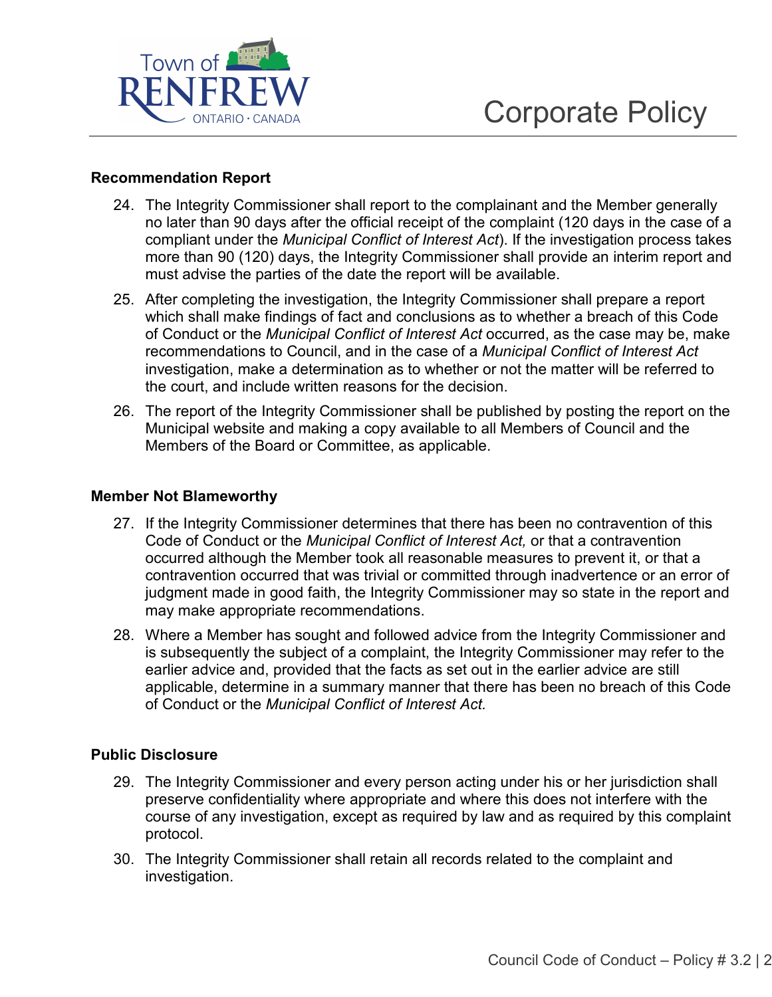

### **Recommendation Report**

- 24. The Integrity Commissioner shall report to the complainant and the Member generally no later than 90 days after the official receipt of the complaint (120 days in the case of a compliant under the *Municipal Conflict of Interest Act*). If the investigation process takes more than 90 (120) days, the Integrity Commissioner shall provide an interim report and must advise the parties of the date the report will be available.
- 25. After completing the investigation, the Integrity Commissioner shall prepare a report which shall make findings of fact and conclusions as to whether a breach of this Code of Conduct or the *Municipal Conflict of Interest Act* occurred, as the case may be, make recommendations to Council, and in the case of a *Municipal Conflict of Interest Act* investigation, make a determination as to whether or not the matter will be referred to the court, and include written reasons for the decision.
- 26. The report of the Integrity Commissioner shall be published by posting the report on the Municipal website and making a copy available to all Members of Council and the Members of the Board or Committee, as applicable.

#### **Member Not Blameworthy**

- 27. If the Integrity Commissioner determines that there has been no contravention of this Code of Conduct or the *Municipal Conflict of Interest Act,* or that a contravention occurred although the Member took all reasonable measures to prevent it, or that a contravention occurred that was trivial or committed through inadvertence or an error of judgment made in good faith, the Integrity Commissioner may so state in the report and may make appropriate recommendations.
- 28. Where a Member has sought and followed advice from the Integrity Commissioner and is subsequently the subject of a complaint, the Integrity Commissioner may refer to the earlier advice and, provided that the facts as set out in the earlier advice are still applicable, determine in a summary manner that there has been no breach of this Code of Conduct or the *Municipal Conflict of Interest Act.*

### **Public Disclosure**

- 29. The Integrity Commissioner and every person acting under his or her jurisdiction shall preserve confidentiality where appropriate and where this does not interfere with the course of any investigation, except as required by law and as required by this complaint protocol.
- 30. The Integrity Commissioner shall retain all records related to the complaint and investigation.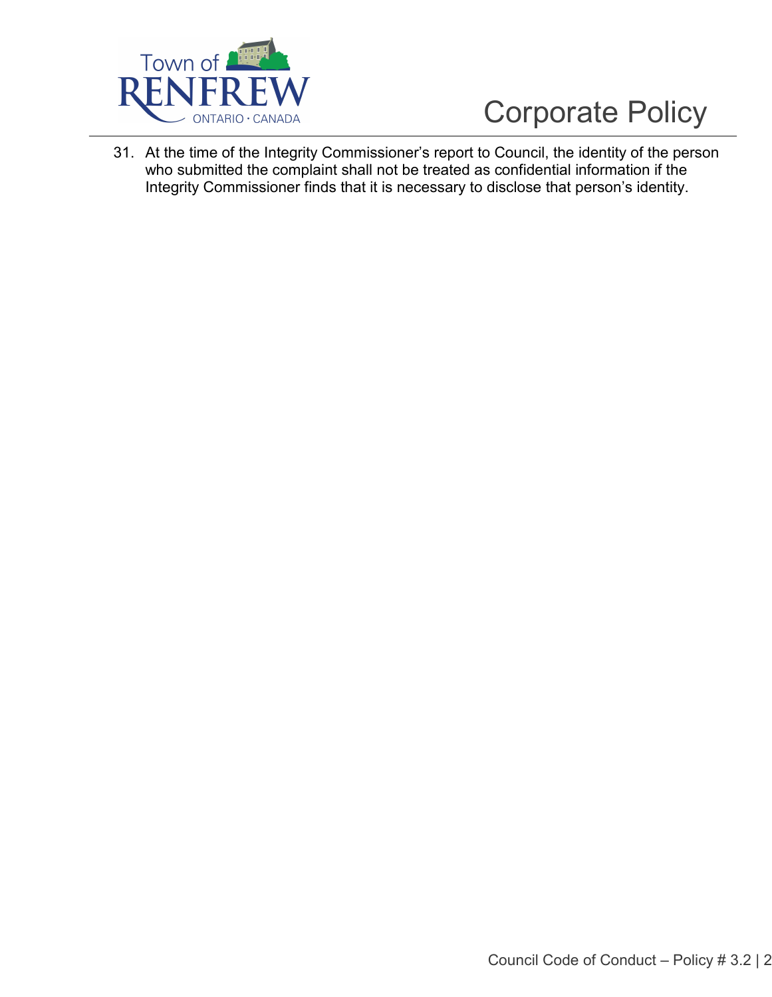

31. At the time of the Integrity Commissioner's report to Council, the identity of the person who submitted the complaint shall not be treated as confidential information if the Integrity Commissioner finds that it is necessary to disclose that person's identity.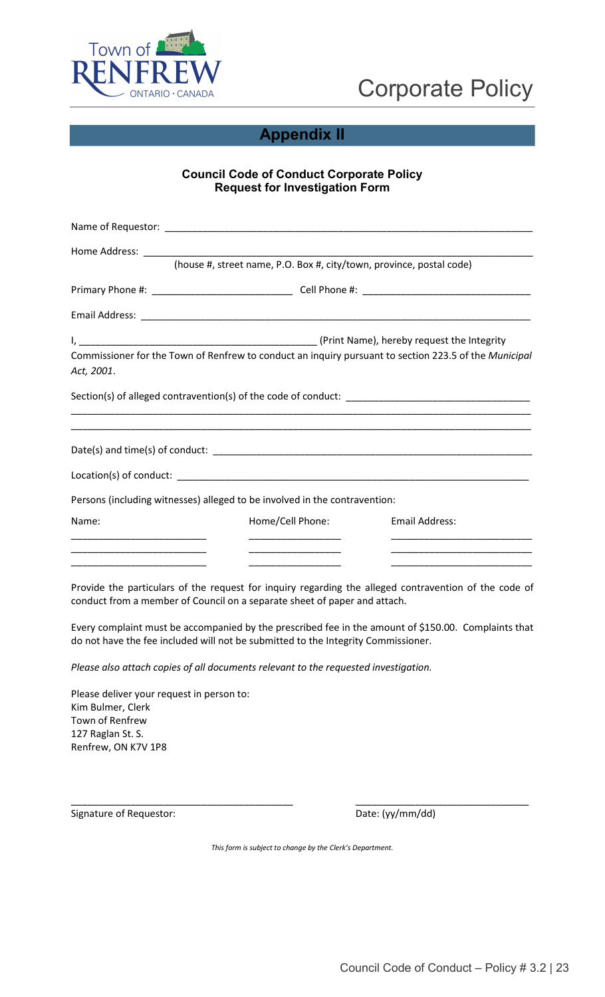



## **Appendix II**

## **Council Code of Conduct Corporate Policy Request for Investigation Form**

|                                                      | (house #, street name, P.O. Box #, city/town, province, postal code)                                  |                       |
|------------------------------------------------------|-------------------------------------------------------------------------------------------------------|-----------------------|
|                                                      |                                                                                                       |                       |
|                                                      |                                                                                                       |                       |
|                                                      |                                                                                                       |                       |
| Act, 2001.                                           | Commissioner for the Town of Renfrew to conduct an inquiry pursuant to section 223.5 of the Municipal |                       |
|                                                      | ,我们也不能在这里的人,我们也不能在这里的人,我们也不能在这里的人,我们也不能在这里的人,我们也不能在这里的人,我们也不能在这里的人,我们也不能在这里的人,我们                      |                       |
|                                                      |                                                                                                       |                       |
|                                                      |                                                                                                       |                       |
|                                                      | Persons (including witnesses) alleged to be involved in the contravention:                            |                       |
| Name:                                                | Home/Cell Phone:                                                                                      | <b>Email Address:</b> |
|                                                      |                                                                                                       |                       |
| <u> 2002 - Johann John Stone, mars et al. (2003)</u> | <u> 2002 - John Amerikaanse kommunister (</u>                                                         |                       |

Provide the particulars of the request for inquiry regarding the alleged contravention of the code of conduct from a member of Council on a separate sheet of paper and attach.

Every complaint must be accompanied by the prescribed fee in the amount of \$150.00. Complaints that do not have the fee included will not be submitted to the Integrity Commissioner.

*Please also attach copies of all documents relevant to the requested investigation.* 

Please deliver your request in person to: Kim Bulmer, Clerk Town of Renfrew 127 Raglan St. S. Renfrew, ON K7V 1P8

Signature of Requestor:  $Date: (yy/mm/dd)$ 

\_\_\_\_\_\_\_\_\_\_\_\_\_\_\_\_\_\_\_\_\_\_\_\_\_\_\_\_\_\_\_\_\_\_\_\_\_\_\_\_\_ \_\_\_\_\_\_\_\_\_\_\_\_\_\_\_\_\_\_\_\_\_\_\_\_\_\_\_\_\_\_\_\_

*This form is subject to change by the Clerk's Department.*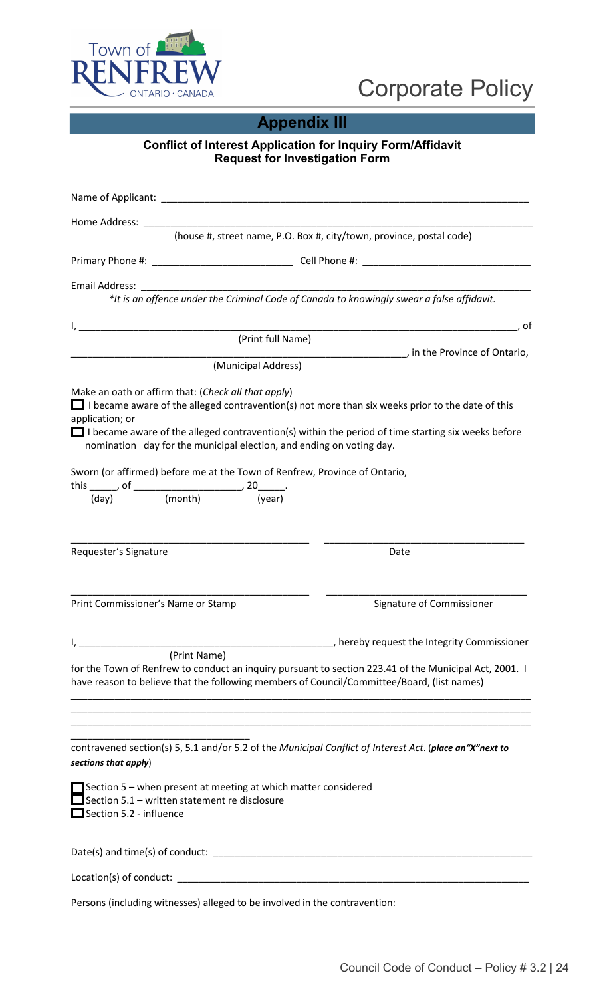

## **Appendix III**

### **Conflict of Interest Application for Inquiry Form/Affidavit Request for Investigation Form**

| Home Address:                                                                   |              |                                                                            |                                                                                                                                                                                                                      |
|---------------------------------------------------------------------------------|--------------|----------------------------------------------------------------------------|----------------------------------------------------------------------------------------------------------------------------------------------------------------------------------------------------------------------|
|                                                                                 |              |                                                                            | (house #, street name, P.O. Box #, city/town, province, postal code)                                                                                                                                                 |
|                                                                                 |              |                                                                            |                                                                                                                                                                                                                      |
|                                                                                 |              |                                                                            |                                                                                                                                                                                                                      |
|                                                                                 |              |                                                                            |                                                                                                                                                                                                                      |
|                                                                                 |              | (Print full Name)                                                          | , of<br>___________________________, in the Province of Ontario,                                                                                                                                                     |
|                                                                                 |              | (Municipal Address)                                                        |                                                                                                                                                                                                                      |
| Make an oath or affirm that: (Check all that apply)<br>application; or          |              | nomination day for the municipal election, and ending on voting day.       | $\Box$ I became aware of the alleged contravention(s) not more than six weeks prior to the date of this<br>$\Box$ I became aware of the alleged contravention(s) within the period of time starting six weeks before |
| this $\frac{1}{(day)}$ , of $\frac{1}{(month)}$ , $20$ (year)                   |              | Sworn (or affirmed) before me at the Town of Renfrew, Province of Ontario, |                                                                                                                                                                                                                      |
|                                                                                 |              |                                                                            |                                                                                                                                                                                                                      |
| Requester's Signature                                                           |              |                                                                            | Date                                                                                                                                                                                                                 |
| Print Commissioner's Name or Stamp                                              |              |                                                                            | Signature of Commissioner                                                                                                                                                                                            |
|                                                                                 |              |                                                                            | b hereby request the Integrity Commissioner                                                                                                                                                                          |
|                                                                                 | (Print Name) |                                                                            | for the Town of Renfrew to conduct an inquiry pursuant to section 223.41 of the Municipal Act, 2001. I<br>have reason to believe that the following members of Council/Committee/Board, (list names)                 |
| sections that apply)                                                            |              |                                                                            | contravened section(s) 5, 5.1 and/or 5.2 of the Municipal Conflict of Interest Act. (place an "X"next to                                                                                                             |
| Section 5.1 - written statement re disclosure<br>$\Box$ Section 5.2 - influence |              | $\Box$ Section 5 – when present at meeting at which matter considered      |                                                                                                                                                                                                                      |
|                                                                                 |              |                                                                            | Date(s) and time(s) of conduct: $\Box$                                                                                                                                                                               |
|                                                                                 |              |                                                                            |                                                                                                                                                                                                                      |
|                                                                                 |              | Persons (including witnesses) alleged to be involved in the contravention: |                                                                                                                                                                                                                      |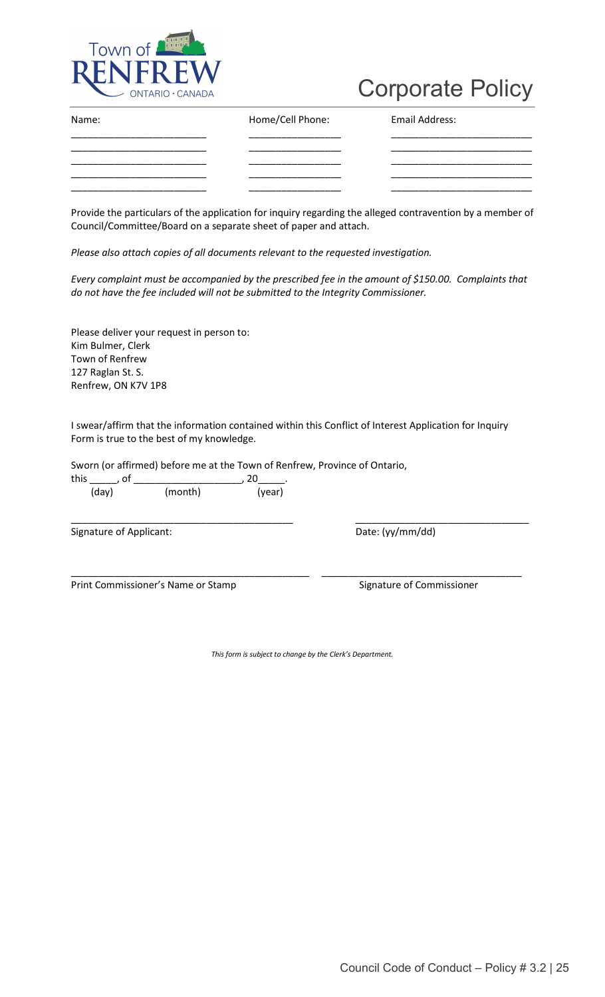

| Name: | Home/Cell Phone: | Email Address: |
|-------|------------------|----------------|
|       |                  |                |
|       |                  |                |
|       |                  |                |

Provide the particulars of the application for inquiry regarding the alleged contravention by a member of Council/Committee/Board on a separate sheet of paper and attach.

*Please also attach copies of all documents relevant to the requested investigation.* 

*Every complaint must be accompanied by the prescribed fee in the amount of \$150.00. Complaints that do not have the fee included will not be submitted to the Integrity Commissioner.* 

Please deliver your request in person to: Kim Bulmer, Clerk Town of Renfrew 127 Raglan St. S. Renfrew, ON K7V 1P8

I swear/affirm that the information contained within this Conflict of Interest Application for Inquiry Form is true to the best of my knowledge.

Sworn (or affirmed) before me at the Town of Renfrew, Province of Ontario,

| this  |         |        |
|-------|---------|--------|
| (day) | (month) | (year) |

Signature of Applicant: Signature of Applicant: Date: (yy/mm/dd)

\_\_\_\_\_\_\_\_\_\_\_\_\_\_\_\_\_\_\_\_\_\_\_\_\_\_\_\_\_\_\_\_\_\_\_\_\_\_\_\_\_ \_\_\_\_\_\_\_\_\_\_\_\_\_\_\_\_\_\_\_\_\_\_\_\_\_\_\_\_\_\_\_\_

Print Commissioner's Name or Stamp Signature of Commissioner

*This form is subject to change by the Clerk's Department.*

\_\_\_\_\_\_\_\_\_\_\_\_\_\_\_\_\_\_\_\_\_\_\_\_\_\_\_\_\_\_\_\_\_\_\_\_\_\_\_\_\_\_\_\_ \_\_\_\_\_\_\_\_\_\_\_\_\_\_\_\_\_\_\_\_\_\_\_\_\_\_\_\_\_\_\_\_\_\_\_\_\_